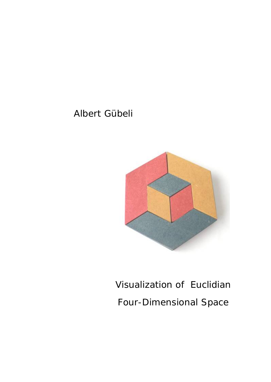# Albert Gübeli



# Visualization of Euclidian Four-Dimensional Space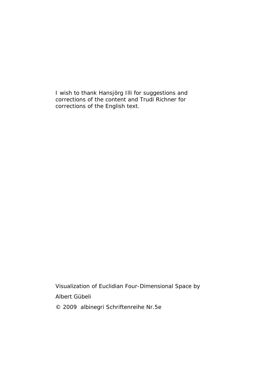I wish to thank Hansjörg Illi for suggestions and corrections of the content and Trudi Richner for corrections of the English text.

Visualization of Euclidian Four-Dimensional Space by Albert Gübeli © 2009 albinegri Schriftenreihe Nr.5e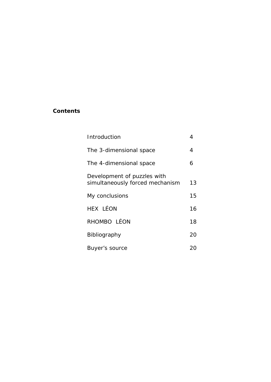## **Contents**

| Introduction                                                   | 4  |
|----------------------------------------------------------------|----|
| The 3-dimensional space                                        | 4  |
| The 4-dimensional space                                        | 6  |
| Development of puzzles with<br>simultaneously forced mechanism | 13 |
| My conclusions                                                 | 15 |
| HEX LÉON                                                       | 16 |
| RHOMBO LÉON                                                    | 18 |
| Bibliography                                                   | 20 |
| Buyer's source                                                 | 20 |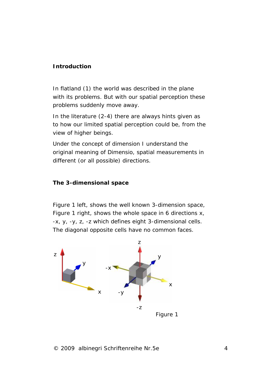#### **Introduction**

In flatland (1) the world was described in the plane with its problems. But with our spatial perception these problems suddenly move away.

In the literature (2-4) there are always hints given as to how our limited spatial perception could be, from the view of higher beings.

Under the concept of dimension I understand the original meaning of *Dimensio,* spatial measurements in different (or all possible) directions.

**The 3-dimensional space**

Figure 1 left, shows the well known 3-dimension space, Figure 1 right, shows the whole space in 6 directions *x, -x, y, -y, z, -z* which defines eight 3-dimensional cells. The diagonal opposite cells have no common faces.

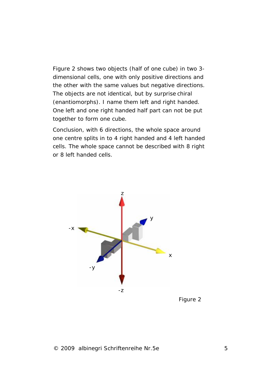Figure 2 shows two objects (half of one cube) in two 3 dimensional cells, one with only positive directions and the other with the same values but negative directions. The objects are not identical, but by surprise chiral (enantiomorphs). I name them left and right handed. One left and one right handed half part can not be put together to form one cube.

Conclusion, with 6 directions, the whole space around one centre splits in to 4 right handed and 4 left handed cells. The whole space cannot be described with 8 right or 8 left handed cells.

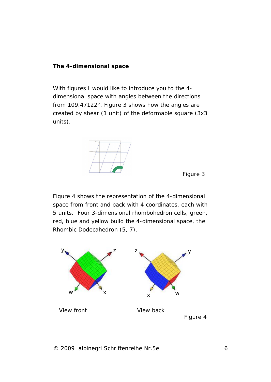### **The 4-dimensional space**

With figures I would like to introduce you to the 4 dimensional space with angles between the directions from 109.47122°. Figure 3 shows how the angles are created by shear (1 unit) of the deformable square (3x3 units).



Figure 3

Figure 4 shows the representation of the 4-dimensional space from front and back with 4 coordinates, each with 5 units. Four 3-dimensional rhombohedron cells, green, red, blue and yellow build the 4-dimensional space, the Rhombic Dodecahedron (5, 7).

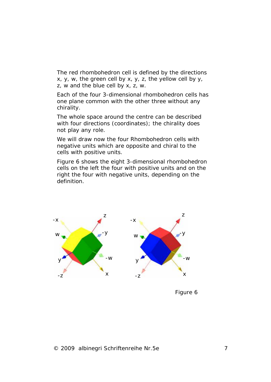The red rhombohedron cell is defined by the directions *x, y, w,* the green cell by *x, y, z,* the yellow cell by *y, z, w* and the blue cell by *x, z, w*.

Each of the four 3-dimensional rhombohedron cells has one plane common with the other three without any chirality.

The whole space around the centre can be described with four directions (coordinates); the chirality does not play any role.

We will draw now the four Rhombohedron cells with negative units which are opposite and chiral to the cells with positive units.

Figure 6 shows the eight 3-dimensional rhombohedron cells on the left the four with positive units and on the right the four with negative units, depending on the definition.



Figure 6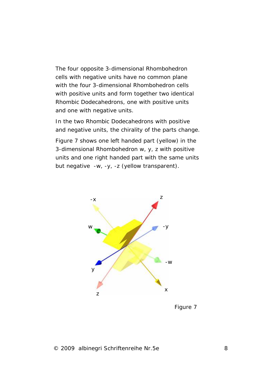The four opposite 3-dimensional Rhombohedron cells with negative units have no common plane with the four 3-dimensional Rhombohedron cells with positive units and form together two identical Rhombic Dodecahedrons, one with positive units and one with negative units.

In the two Rhombic Dodecahedrons with positive and negative units, the chirality of the parts change.

Figure 7 shows one left handed part (yellow) in the 3-dimensional Rhombohedron *w, y, z* with positive units and one right handed part with the same units but negative *-w, -y, -z* (yellow transparent).



Figure 7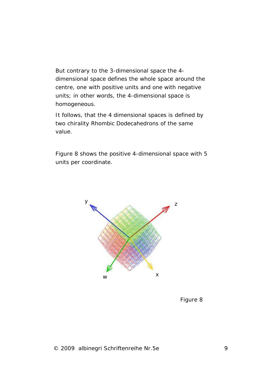But contrary to the 3-dimensional space the 4 dimensional space defines the whole space around the centre, one with positive units and one with negative units; in other words, the 4-dimensional space is homogeneous.

It follows, that the 4 dimensional spaces is defined by two chirality Rhombic Dodecahedrons of the same value.

Figure 8 shows the positive 4-dimensional space with 5 units per coordinate.



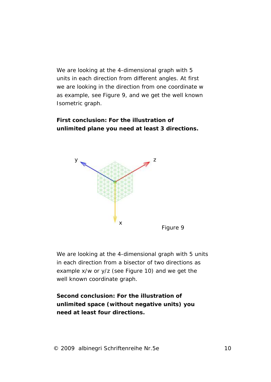We are looking at the 4-dimensional graph with 5 units in each direction from different angles. At first we are looking in the direction from one coordinate *w* as example, see Figure 9, and we get the well known Isometric graph.

**First conclusion: For the illustration of unlimited plane you need at least 3 directions.**



We are looking at the 4-dimensional graph with 5 units in each direction from a bisector of two directions as example x/w or y/z (see Figure 10) and we get the well known coordinate graph.

**Second conclusion: For the illustration of unlimited space (without negative units) you need at least four directions.**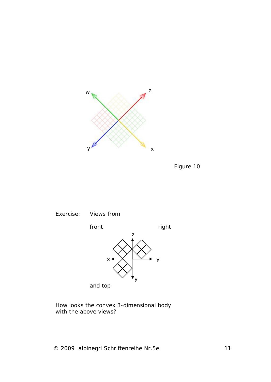





and top

How looks the convex 3-dimensional body with the above views?

© 2009 albinegri Schriftenreihe Nr.5e 11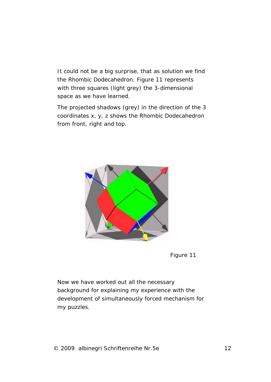It could not be a big surprise, that as solution we find the Rhombic Dodecahedron. Figure 11 represents with three squares (light grey) the 3-dimensional space as we have learned.

The projected shadows (grey) in the direction of the 3 coordinates x, y, z shows the Rhombic Dodecahedron from front, right and top.



Figure 11

Now we have worked out all the necessary background for explaining my experience with the development of simultaneously forced mechanism for my puzzles.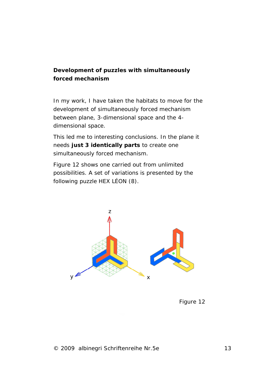**Development of puzzles with simultaneously forced mechanism** 

In my work, I have taken the habitats to move for the development of simultaneously forced mechanism between plane, 3-dimensional space and the 4 dimensional space.

This led me to interesting conclusions. In the plane it needs **just 3 identically parts** to create one simultaneously forced mechanism.

Figure 12 shows one carried out from unlimited possibilities. A set of variations is presented by the following puzzle HEX LÉON (8).



Figure 12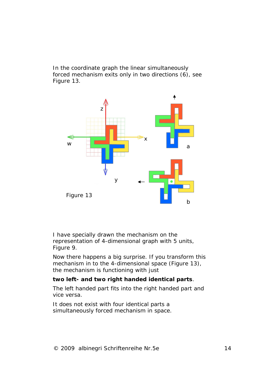In the coordinate graph the linear simultaneously forced mechanism exits only in two directions (6), see Figure 13.



I have specially drawn the mechanism on the representation of 4-dimensional graph with 5 units, Figure 9.

Now there happens a big surprise. If you transform this mechanism in to the 4-dimensional space (Figure 13), the mechanism is functioning with just

**two left- and two right handed identical parts**.

The left handed part fits into the right handed part and vice versa.

It does not exist with four identical parts a simultaneously forced mechanism in space.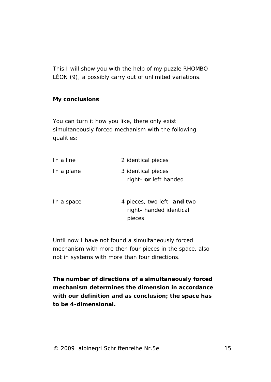This I will show you with the help of my puzzle RHOMBO LÉON (9), a possibly carry out of unlimited variations.

**My conclusions**

You can turn it how you like, there only exist simultaneously forced mechanism with the following qualities:

| In a line  | 2 identical pieces                                              |
|------------|-----------------------------------------------------------------|
| In a plane | 3 identical pieces<br>right- or left handed                     |
| In a space | 4 pieces, two left- and two<br>right-handed identical<br>pieces |

Until now I have not found a simultaneously forced mechanism with more then four pieces in the space, also not in systems with more than four directions.

**The number of directions of a simultaneously forced mechanism determines the dimension in accordance with our definition and as conclusion; the space has to be 4-dimensional.**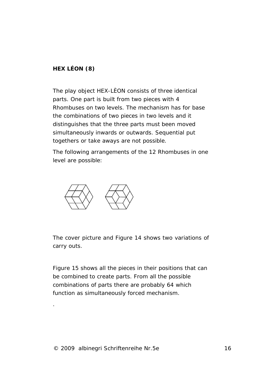**HEX LÉON (8)**

The play object HEX-LÈON consists of three identical parts. One part is built from two pieces with 4 Rhombuses on two levels. The mechanism has for base the combinations of two pieces in two levels and it distinguishes that the three parts must been moved simultaneously inwards or outwards. Sequential put togethers or take aways are not possible.

The following arrangements of the 12 Rhombuses in one level are possible:



The cover picture and Figure 14 shows two variations of carry outs.

Figure 15 shows all the pieces in their positions that can be combined to create parts. From all the possible combinations of parts there are probably 64 which function as simultaneously forced mechanism.

.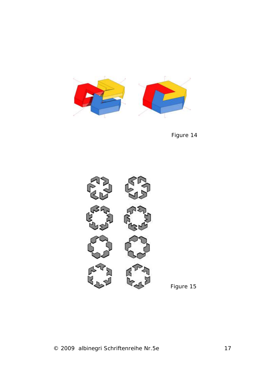

Figure 14



Figure 15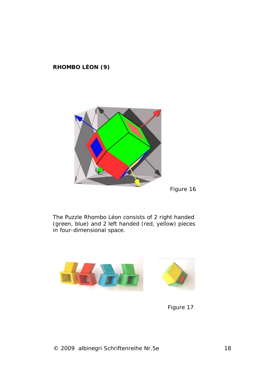**RHOMBO LÉON (9)**



Figure 16

The Puzzle Rhombo Léon consists of 2 right handed (green, blue) and 2 left handed (red, yellow) pieces in four-dimensional space.



Figure 17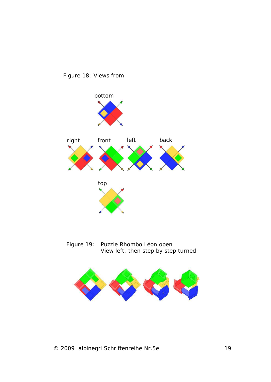

Figure 18: Views from

Figure 19: Puzzle Rhombo Léon open View left, then step by step turned